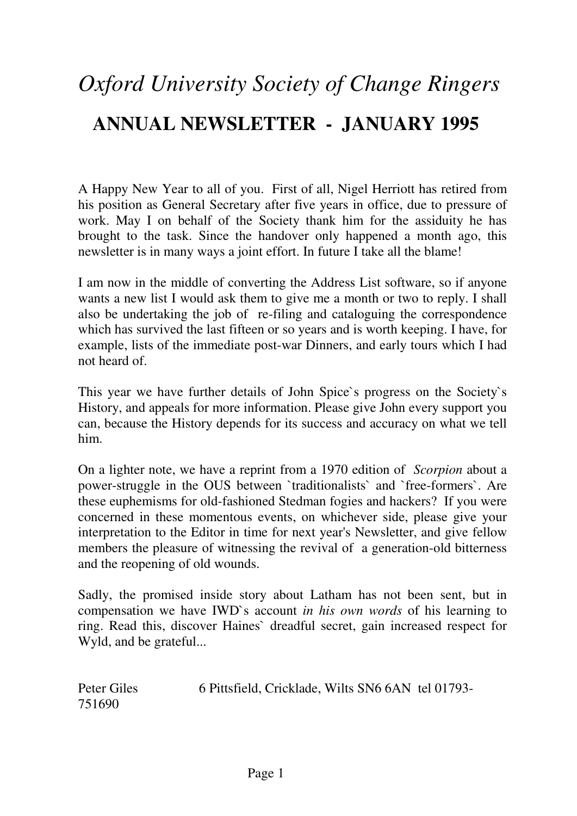# *Oxford University Society of Change Ringers*  **ANNUAL NEWSLETTER - JANUARY 1995**

A Happy New Year to all of you. First of all, Nigel Herriott has retired from his position as General Secretary after five years in office, due to pressure of work. May I on behalf of the Society thank him for the assiduity he has brought to the task. Since the handover only happened a month ago, this newsletter is in many ways a joint effort. In future I take all the blame!

I am now in the middle of converting the Address List software, so if anyone wants a new list I would ask them to give me a month or two to reply. I shall also be undertaking the job of re-filing and cataloguing the correspondence which has survived the last fifteen or so years and is worth keeping. I have, for example, lists of the immediate post-war Dinners, and early tours which I had not heard of.

This year we have further details of John Spice`s progress on the Society`s History, and appeals for more information. Please give John every support you can, because the History depends for its success and accuracy on what we tell him.

On a lighter note, we have a reprint from a 1970 edition of *Scorpion* about a power-struggle in the OUS between `traditionalists` and `free-formers`. Are these euphemisms for old-fashioned Stedman fogies and hackers? If you were concerned in these momentous events, on whichever side, please give your interpretation to the Editor in time for next year's Newsletter, and give fellow members the pleasure of witnessing the revival of a generation-old bitterness and the reopening of old wounds.

Sadly, the promised inside story about Latham has not been sent, but in compensation we have IWD`s account *in his own words* of his learning to ring. Read this, discover Haines` dreadful secret, gain increased respect for Wyld, and be grateful...

| Peter Giles | 6 Pittsfield, Cricklade, Wilts SN6 6AN tel 01793- |  |
|-------------|---------------------------------------------------|--|
| 751690      |                                                   |  |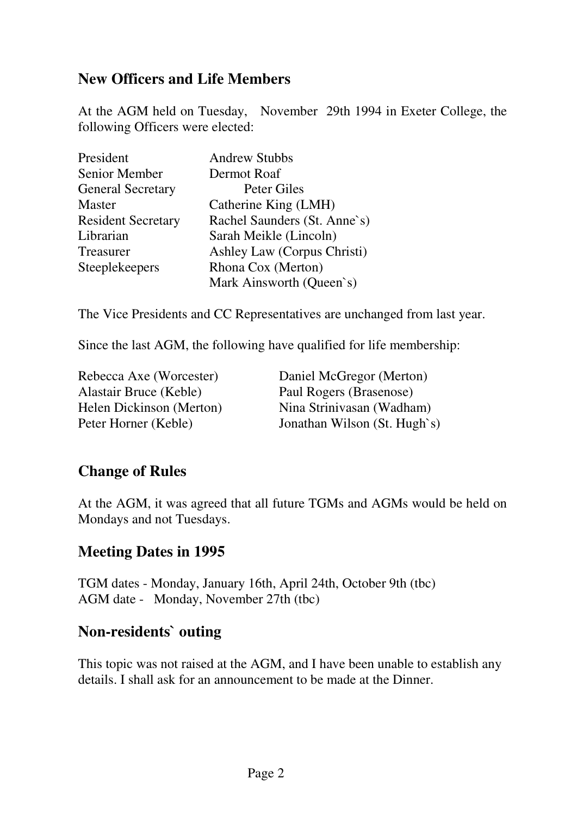#### **New Officers and Life Members**

At the AGM held on Tuesday, November 29th 1994 in Exeter College, the following Officers were elected:

| President                 | <b>Andrew Stubbs</b>         |
|---------------------------|------------------------------|
| Senior Member             | Dermot Roaf                  |
| <b>General Secretary</b>  | Peter Giles                  |
| <b>Master</b>             | Catherine King (LMH)         |
| <b>Resident Secretary</b> | Rachel Saunders (St. Anne's) |
| Librarian                 | Sarah Meikle (Lincoln)       |
| Treasurer                 | Ashley Law (Corpus Christi)  |
| Steeplekeepers            | Rhona Cox (Merton)           |
|                           | Mark Ainsworth (Queen's)     |

The Vice Presidents and CC Representatives are unchanged from last year.

Since the last AGM, the following have qualified for life membership:

Alastair Bruce (Keble) Paul Rogers (Brasenose)

Rebecca Axe (Worcester) Daniel McGregor (Merton) Helen Dickinson (Merton) Nina Strinivasan (Wadham) Peter Horner (Keble) Jonathan Wilson (St. Hugh`s)

## **Change of Rules**

At the AGM, it was agreed that all future TGMs and AGMs would be held on Mondays and not Tuesdays.

## **Meeting Dates in 1995**

TGM dates - Monday, January 16th, April 24th, October 9th (tbc) AGM date - Monday, November 27th (tbc)

#### **Non-residents` outing**

This topic was not raised at the AGM, and I have been unable to establish any details. I shall ask for an announcement to be made at the Dinner.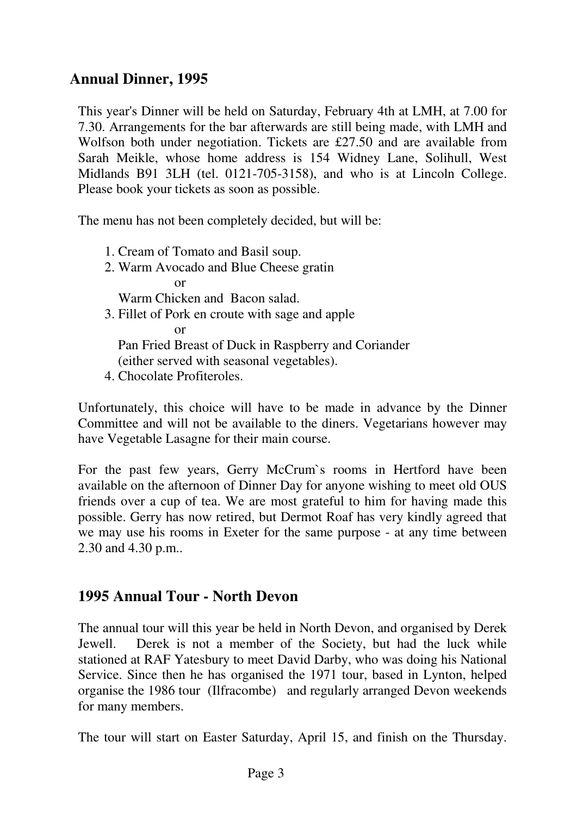## **Annual Dinner, 1995**

This year's Dinner will be held on Saturday, February 4th at LMH, at 7.00 for 7.30. Arrangements for the bar afterwards are still being made, with LMH and Wolfson both under negotiation. Tickets are £27.50 and are available from Sarah Meikle, whose home address is 154 Widney Lane, Solihull, West Midlands B91 3LH (tel. 0121-705-3158), and who is at Lincoln College. Please book your tickets as soon as possible.

The menu has not been completely decided, but will be:

- 1. Cream of Tomato and Basil soup.
- 2. Warm Avocado and Blue Cheese gratin

or

Warm Chicken and Bacon salad.

3. Fillet of Pork en croute with sage and apple

or

Pan Fried Breast of Duck in Raspberry and Coriander

(either served with seasonal vegetables).

4. Chocolate Profiteroles.

Unfortunately, this choice will have to be made in advance by the Dinner Committee and will not be available to the diners. Vegetarians however may have Vegetable Lasagne for their main course.

For the past few years, Gerry McCrum`s rooms in Hertford have been available on the afternoon of Dinner Day for anyone wishing to meet old OUS friends over a cup of tea. We are most grateful to him for having made this possible. Gerry has now retired, but Dermot Roaf has very kindly agreed that we may use his rooms in Exeter for the same purpose - at any time between 2.30 and 4.30 p.m..

## **1995 Annual Tour - North Devon**

The annual tour will this year be held in North Devon, and organised by Derek Jewell. Derek is not a member of the Society, but had the luck while stationed at RAF Yatesbury to meet David Darby, who was doing his National Service. Since then he has organised the 1971 tour, based in Lynton, helped organise the 1986 tour (Ilfracombe) and regularly arranged Devon weekends for many members.

The tour will start on Easter Saturday, April 15, and finish on the Thursday.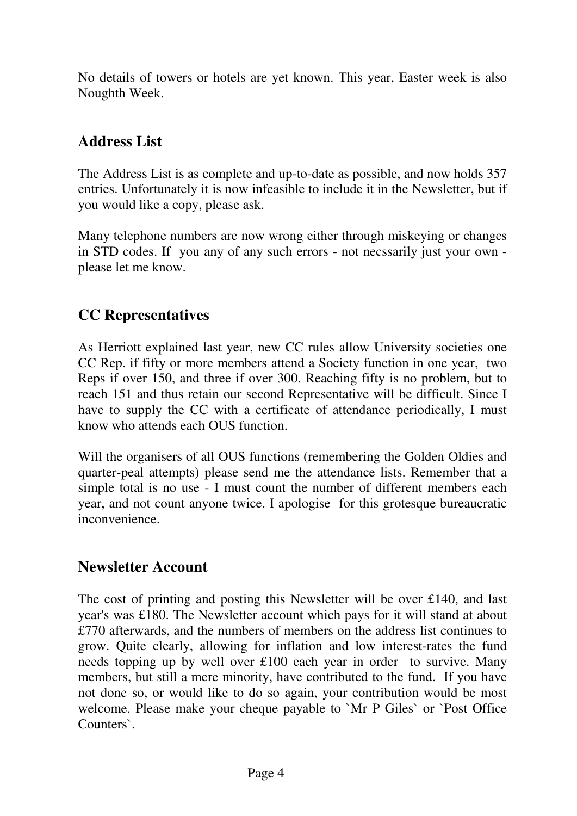No details of towers or hotels are yet known. This year, Easter week is also Noughth Week.

## **Address List**

The Address List is as complete and up-to-date as possible, and now holds 357 entries. Unfortunately it is now infeasible to include it in the Newsletter, but if you would like a copy, please ask.

Many telephone numbers are now wrong either through miskeying or changes in STD codes. If you any of any such errors - not necssarily just your own please let me know.

# **CC Representatives**

As Herriott explained last year, new CC rules allow University societies one CC Rep. if fifty or more members attend a Society function in one year, two Reps if over 150, and three if over 300. Reaching fifty is no problem, but to reach 151 and thus retain our second Representative will be difficult. Since I have to supply the CC with a certificate of attendance periodically, I must know who attends each OUS function.

Will the organisers of all OUS functions (remembering the Golden Oldies and quarter-peal attempts) please send me the attendance lists. Remember that a simple total is no use - I must count the number of different members each year, and not count anyone twice. I apologise for this grotesque bureaucratic inconvenience.

#### **Newsletter Account**

The cost of printing and posting this Newsletter will be over £140, and last year's was £180. The Newsletter account which pays for it will stand at about £770 afterwards, and the numbers of members on the address list continues to grow. Quite clearly, allowing for inflation and low interest-rates the fund needs topping up by well over £100 each year in order to survive. Many members, but still a mere minority, have contributed to the fund. If you have not done so, or would like to do so again, your contribution would be most welcome. Please make your cheque payable to `Mr P Giles` or `Post Office Counters`.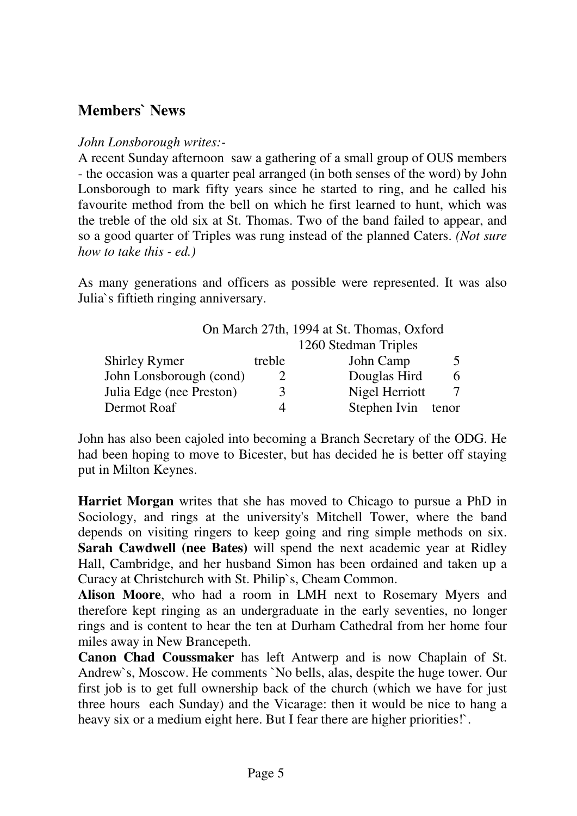## **Members` News**

#### *John Lonsborough writes:-*

A recent Sunday afternoon saw a gathering of a small group of OUS members - the occasion was a quarter peal arranged (in both senses of the word) by John Lonsborough to mark fifty years since he started to ring, and he called his favourite method from the bell on which he first learned to hunt, which was the treble of the old six at St. Thomas. Two of the band failed to appear, and so a good quarter of Triples was rung instead of the planned Caters. *(Not sure how to take this - ed.)* 

As many generations and officers as possible were represented. It was also Julia`s fiftieth ringing anniversary.

|                          |                      | On March 27th, 1994 at St. Thomas, Oxford |       |
|--------------------------|----------------------|-------------------------------------------|-------|
|                          | 1260 Stedman Triples |                                           |       |
| <b>Shirley Rymer</b>     | treble               | John Camp                                 | 5     |
| John Lonsborough (cond)  |                      | Douglas Hird                              | 6     |
| Julia Edge (nee Preston) | 3                    | Nigel Herriott                            |       |
| Dermot Roaf              |                      | Stephen Ivin                              | tenor |

John has also been cajoled into becoming a Branch Secretary of the ODG. He had been hoping to move to Bicester, but has decided he is better off staying put in Milton Keynes.

**Harriet Morgan** writes that she has moved to Chicago to pursue a PhD in Sociology, and rings at the university's Mitchell Tower, where the band depends on visiting ringers to keep going and ring simple methods on six. **Sarah Cawdwell (nee Bates)** will spend the next academic year at Ridley Hall, Cambridge, and her husband Simon has been ordained and taken up a Curacy at Christchurch with St. Philip`s, Cheam Common.

**Alison Moore**, who had a room in LMH next to Rosemary Myers and therefore kept ringing as an undergraduate in the early seventies, no longer rings and is content to hear the ten at Durham Cathedral from her home four miles away in New Brancepeth.

**Canon Chad Coussmaker** has left Antwerp and is now Chaplain of St. Andrew`s, Moscow. He comments `No bells, alas, despite the huge tower. Our first job is to get full ownership back of the church (which we have for just three hours each Sunday) and the Vicarage: then it would be nice to hang a heavy six or a medium eight here. But I fear there are higher priorities!'.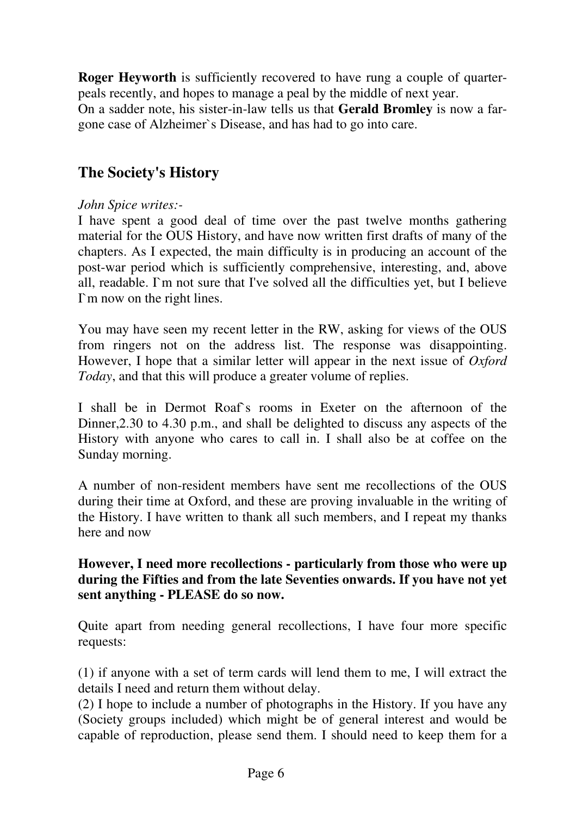**Roger Heyworth** is sufficiently recovered to have rung a couple of quarterpeals recently, and hopes to manage a peal by the middle of next year.

On a sadder note, his sister-in-law tells us that **Gerald Bromley** is now a fargone case of Alzheimer`s Disease, and has had to go into care.

# **The Society's History**

#### *John Spice writes:-*

I have spent a good deal of time over the past twelve months gathering material for the OUS History, and have now written first drafts of many of the chapters. As I expected, the main difficulty is in producing an account of the post-war period which is sufficiently comprehensive, interesting, and, above all, readable. I`m not sure that I've solved all the difficulties yet, but I believe I`m now on the right lines.

You may have seen my recent letter in the RW, asking for views of the OUS from ringers not on the address list. The response was disappointing. However, I hope that a similar letter will appear in the next issue of *Oxford Today*, and that this will produce a greater volume of replies.

I shall be in Dermot Roaf`s rooms in Exeter on the afternoon of the Dinner,2.30 to 4.30 p.m., and shall be delighted to discuss any aspects of the History with anyone who cares to call in. I shall also be at coffee on the Sunday morning.

A number of non-resident members have sent me recollections of the OUS during their time at Oxford, and these are proving invaluable in the writing of the History. I have written to thank all such members, and I repeat my thanks here and now

#### **However, I need more recollections - particularly from those who were up during the Fifties and from the late Seventies onwards. If you have not yet sent anything - PLEASE do so now.**

Quite apart from needing general recollections, I have four more specific requests:

(1) if anyone with a set of term cards will lend them to me, I will extract the details I need and return them without delay.

(2) I hope to include a number of photographs in the History. If you have any (Society groups included) which might be of general interest and would be capable of reproduction, please send them. I should need to keep them for a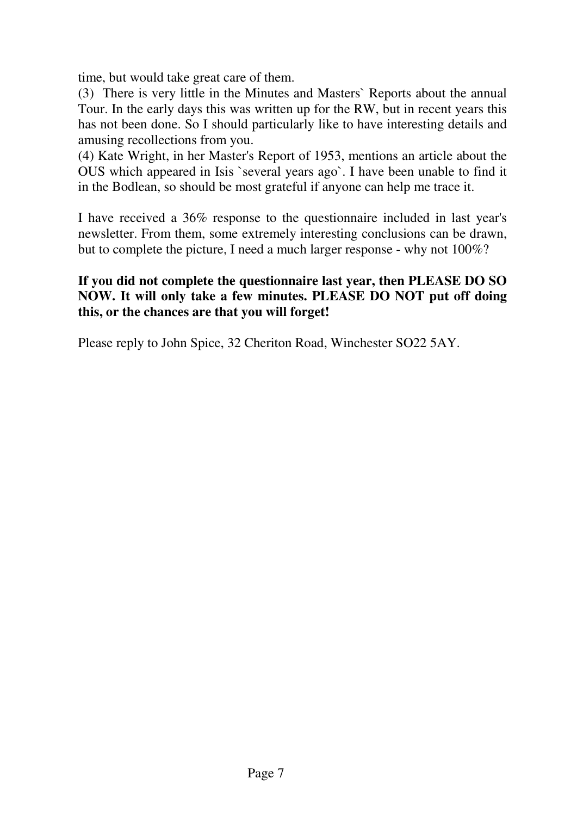time, but would take great care of them.

(3) There is very little in the Minutes and Masters` Reports about the annual Tour. In the early days this was written up for the RW, but in recent years this has not been done. So I should particularly like to have interesting details and amusing recollections from you.

(4) Kate Wright, in her Master's Report of 1953, mentions an article about the OUS which appeared in Isis `several years ago`. I have been unable to find it in the Bodlean, so should be most grateful if anyone can help me trace it.

I have received a 36% response to the questionnaire included in last year's newsletter. From them, some extremely interesting conclusions can be drawn, but to complete the picture, I need a much larger response - why not 100%?

#### **If you did not complete the questionnaire last year, then PLEASE DO SO NOW. It will only take a few minutes. PLEASE DO NOT put off doing this, or the chances are that you will forget!**

Please reply to John Spice, 32 Cheriton Road, Winchester SO22 5AY.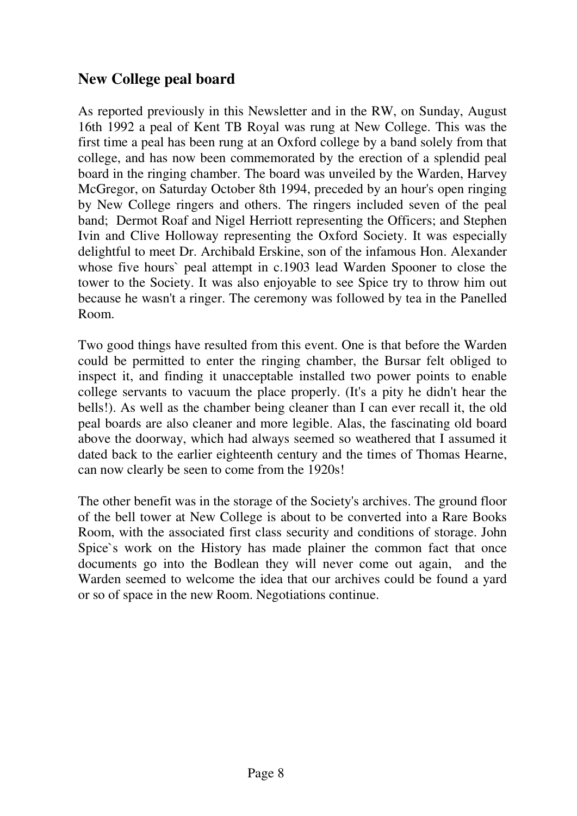## **New College peal board**

As reported previously in this Newsletter and in the RW, on Sunday, August 16th 1992 a peal of Kent TB Royal was rung at New College. This was the first time a peal has been rung at an Oxford college by a band solely from that college, and has now been commemorated by the erection of a splendid peal board in the ringing chamber. The board was unveiled by the Warden, Harvey McGregor, on Saturday October 8th 1994, preceded by an hour's open ringing by New College ringers and others. The ringers included seven of the peal band; Dermot Roaf and Nigel Herriott representing the Officers; and Stephen Ivin and Clive Holloway representing the Oxford Society. It was especially delightful to meet Dr. Archibald Erskine, son of the infamous Hon. Alexander whose five hours` peal attempt in c.1903 lead Warden Spooner to close the tower to the Society. It was also enjoyable to see Spice try to throw him out because he wasn't a ringer. The ceremony was followed by tea in the Panelled Room.

Two good things have resulted from this event. One is that before the Warden could be permitted to enter the ringing chamber, the Bursar felt obliged to inspect it, and finding it unacceptable installed two power points to enable college servants to vacuum the place properly. (It's a pity he didn't hear the bells!). As well as the chamber being cleaner than I can ever recall it, the old peal boards are also cleaner and more legible. Alas, the fascinating old board above the doorway, which had always seemed so weathered that I assumed it dated back to the earlier eighteenth century and the times of Thomas Hearne, can now clearly be seen to come from the 1920s!

The other benefit was in the storage of the Society's archives. The ground floor of the bell tower at New College is about to be converted into a Rare Books Room, with the associated first class security and conditions of storage. John Spice`s work on the History has made plainer the common fact that once documents go into the Bodlean they will never come out again, and the Warden seemed to welcome the idea that our archives could be found a yard or so of space in the new Room. Negotiations continue.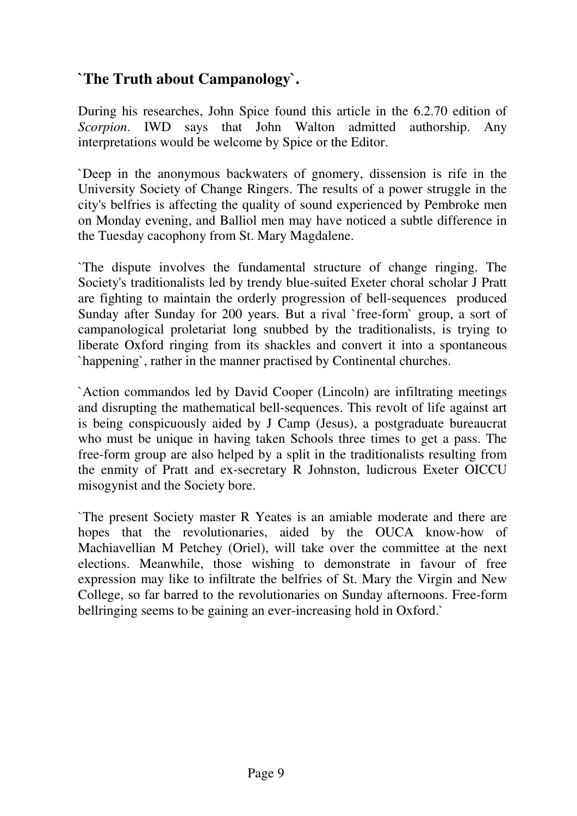# **`The Truth about Campanology`.**

During his researches, John Spice found this article in the 6.2.70 edition of *Scorpion*. IWD says that John Walton admitted authorship. Any interpretations would be welcome by Spice or the Editor.

`Deep in the anonymous backwaters of gnomery, dissension is rife in the University Society of Change Ringers. The results of a power struggle in the city's belfries is affecting the quality of sound experienced by Pembroke men on Monday evening, and Balliol men may have noticed a subtle difference in the Tuesday cacophony from St. Mary Magdalene.

`The dispute involves the fundamental structure of change ringing. The Society's traditionalists led by trendy blue-suited Exeter choral scholar J Pratt are fighting to maintain the orderly progression of bell-sequences produced Sunday after Sunday for 200 years. But a rival `free-form` group, a sort of campanological proletariat long snubbed by the traditionalists, is trying to liberate Oxford ringing from its shackles and convert it into a spontaneous `happening`, rather in the manner practised by Continental churches.

`Action commandos led by David Cooper (Lincoln) are infiltrating meetings and disrupting the mathematical bell-sequences. This revolt of life against art is being conspicuously aided by J Camp (Jesus), a postgraduate bureaucrat who must be unique in having taken Schools three times to get a pass. The free-form group are also helped by a split in the traditionalists resulting from the enmity of Pratt and ex-secretary R Johnston, ludicrous Exeter OICCU misogynist and the Society bore.

`The present Society master R Yeates is an amiable moderate and there are hopes that the revolutionaries, aided by the OUCA know-how of Machiavellian M Petchey (Oriel), will take over the committee at the next elections. Meanwhile, those wishing to demonstrate in favour of free expression may like to infiltrate the belfries of St. Mary the Virgin and New College, so far barred to the revolutionaries on Sunday afternoons. Free-form bellringing seems to be gaining an ever-increasing hold in Oxford.`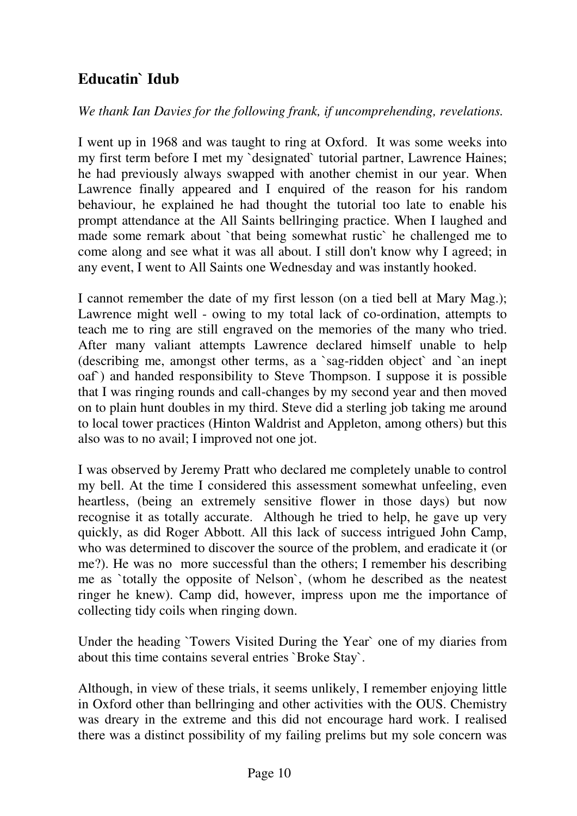# **Educatin` Idub**

*We thank Ian Davies for the following frank, if uncomprehending, revelations.*

I went up in 1968 and was taught to ring at Oxford. It was some weeks into my first term before I met my `designated` tutorial partner, Lawrence Haines; he had previously always swapped with another chemist in our year. When Lawrence finally appeared and I enquired of the reason for his random behaviour, he explained he had thought the tutorial too late to enable his prompt attendance at the All Saints bellringing practice. When I laughed and made some remark about `that being somewhat rustic` he challenged me to come along and see what it was all about. I still don't know why I agreed; in any event, I went to All Saints one Wednesday and was instantly hooked.

I cannot remember the date of my first lesson (on a tied bell at Mary Mag.); Lawrence might well - owing to my total lack of co-ordination, attempts to teach me to ring are still engraved on the memories of the many who tried. After many valiant attempts Lawrence declared himself unable to help (describing me, amongst other terms, as a `sag-ridden object` and `an inept oaf`) and handed responsibility to Steve Thompson. I suppose it is possible that I was ringing rounds and call-changes by my second year and then moved on to plain hunt doubles in my third. Steve did a sterling job taking me around to local tower practices (Hinton Waldrist and Appleton, among others) but this also was to no avail; I improved not one jot.

I was observed by Jeremy Pratt who declared me completely unable to control my bell. At the time I considered this assessment somewhat unfeeling, even heartless, (being an extremely sensitive flower in those days) but now recognise it as totally accurate. Although he tried to help, he gave up very quickly, as did Roger Abbott. All this lack of success intrigued John Camp, who was determined to discover the source of the problem, and eradicate it (or me?). He was no more successful than the others; I remember his describing me as `totally the opposite of Nelson`, (whom he described as the neatest ringer he knew). Camp did, however, impress upon me the importance of collecting tidy coils when ringing down.

Under the heading `Towers Visited During the Year` one of my diaries from about this time contains several entries `Broke Stay`.

Although, in view of these trials, it seems unlikely, I remember enjoying little in Oxford other than bellringing and other activities with the OUS. Chemistry was dreary in the extreme and this did not encourage hard work. I realised there was a distinct possibility of my failing prelims but my sole concern was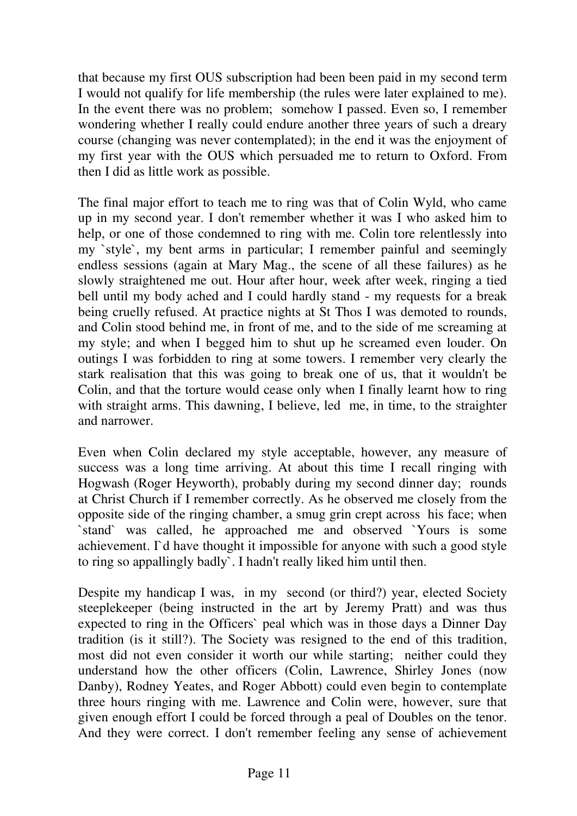that because my first OUS subscription had been been paid in my second term I would not qualify for life membership (the rules were later explained to me). In the event there was no problem; somehow I passed. Even so, I remember wondering whether I really could endure another three years of such a dreary course (changing was never contemplated); in the end it was the enjoyment of my first year with the OUS which persuaded me to return to Oxford. From then I did as little work as possible.

The final major effort to teach me to ring was that of Colin Wyld, who came up in my second year. I don't remember whether it was I who asked him to help, or one of those condemned to ring with me. Colin tore relentlessly into my `style`, my bent arms in particular; I remember painful and seemingly endless sessions (again at Mary Mag., the scene of all these failures) as he slowly straightened me out. Hour after hour, week after week, ringing a tied bell until my body ached and I could hardly stand - my requests for a break being cruelly refused. At practice nights at St Thos I was demoted to rounds, and Colin stood behind me, in front of me, and to the side of me screaming at my style; and when I begged him to shut up he screamed even louder. On outings I was forbidden to ring at some towers. I remember very clearly the stark realisation that this was going to break one of us, that it wouldn't be Colin, and that the torture would cease only when I finally learnt how to ring with straight arms. This dawning, I believe, led me, in time, to the straighter and narrower.

Even when Colin declared my style acceptable, however, any measure of success was a long time arriving. At about this time I recall ringing with Hogwash (Roger Heyworth), probably during my second dinner day; rounds at Christ Church if I remember correctly. As he observed me closely from the opposite side of the ringing chamber, a smug grin crept across his face; when `stand` was called, he approached me and observed `Yours is some achievement. I`d have thought it impossible for anyone with such a good style to ring so appallingly badly`. I hadn't really liked him until then.

Despite my handicap I was, in my second (or third?) year, elected Society steeplekeeper (being instructed in the art by Jeremy Pratt) and was thus expected to ring in the Officers` peal which was in those days a Dinner Day tradition (is it still?). The Society was resigned to the end of this tradition, most did not even consider it worth our while starting; neither could they understand how the other officers (Colin, Lawrence, Shirley Jones (now Danby), Rodney Yeates, and Roger Abbott) could even begin to contemplate three hours ringing with me. Lawrence and Colin were, however, sure that given enough effort I could be forced through a peal of Doubles on the tenor. And they were correct. I don't remember feeling any sense of achievement